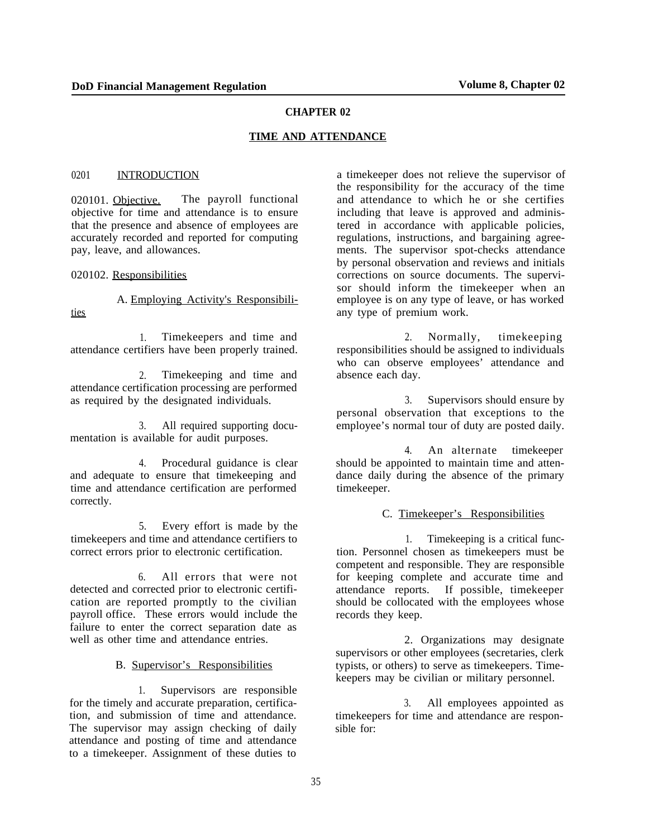#### **CHAPTER 02**

#### **TIME AND ATTENDANCE**

#### 0201 INTRODUCTION

020101. Objective. The payroll functional objective for time and attendance is to ensure that the presence and absence of employees are accurately recorded and reported for computing pay, leave, and allowances.

020102. Responsibilities

A. Employing Activity's Responsibilities

1. Timekeepers and time and attendance certifiers have been properly trained.

2. Timekeeping and time and attendance certification processing are performed as required by the designated individuals.

3. All required supporting documentation is available for audit purposes.

4. Procedural guidance is clear and adequate to ensure that timekeeping and time and attendance certification are performed correctly.

5. Every effort is made by the timekeepers and time and attendance certifiers to correct errors prior to electronic certification.

6. All errors that were not detected and corrected prior to electronic certification are reported promptly to the civilian payroll office. These errors would include the failure to enter the correct separation date as well as other time and attendance entries.

### B. Supervisor's Responsibilities

1. Supervisors are responsible for the timely and accurate preparation, certification, and submission of time and attendance. The supervisor may assign checking of daily attendance and posting of time and attendance to a timekeeper. Assignment of these duties to

a timekeeper does not relieve the supervisor of the responsibility for the accuracy of the time and attendance to which he or she certifies including that leave is approved and administered in accordance with applicable policies, regulations, instructions, and bargaining agreements. The supervisor spot-checks attendance by personal observation and reviews and initials corrections on source documents. The supervisor should inform the timekeeper when an employee is on any type of leave, or has worked any type of premium work.

2. Normally, timekeeping responsibilities should be assigned to individuals who can observe employees' attendance and absence each day.

3. Supervisors should ensure by personal observation that exceptions to the employee's normal tour of duty are posted daily.

4. An alternate timekeeper should be appointed to maintain time and attendance daily during the absence of the primary timekeeper.

#### C. Timekeeper's Responsibilities

1. Timekeeping is a critical function. Personnel chosen as timekeepers must be competent and responsible. They are responsible for keeping complete and accurate time and attendance reports. If possible, timekeeper should be collocated with the employees whose records they keep.

2. Organizations may designate supervisors or other employees (secretaries, clerk typists, or others) to serve as timekeepers. Timekeepers may be civilian or military personnel.

3. All employees appointed as timekeepers for time and attendance are responsible for: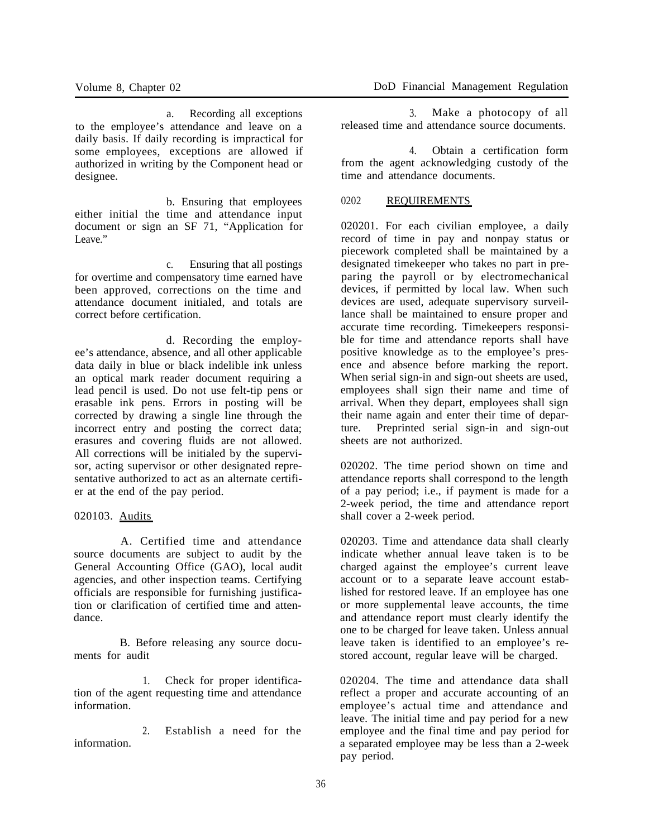a. Recording all exceptions to the employee's attendance and leave on a daily basis. If daily recording is impractical for some employees, exceptions are allowed if authorized in writing by the Component head or designee.

b. Ensuring that employees either initial the time and attendance input document or sign an SF 71, "Application for Leave."

c. Ensuring that all postings for overtime and compensatory time earned have been approved, corrections on the time and attendance document initialed, and totals are correct before certification.

d. Recording the employee's attendance, absence, and all other applicable data daily in blue or black indelible ink unless an optical mark reader document requiring a lead pencil is used. Do not use felt-tip pens or erasable ink pens. Errors in posting will be corrected by drawing a single line through the incorrect entry and posting the correct data; erasures and covering fluids are not allowed. All corrections will be initialed by the supervisor, acting supervisor or other designated representative authorized to act as an alternate certifier at the end of the pay period.

### 020103. Audits

A. Certified time and attendance source documents are subject to audit by the General Accounting Office (GAO), local audit agencies, and other inspection teams. Certifying officials are responsible for furnishing justification or clarification of certified time and attendance.

B. Before releasing any source documents for audit

1. Check for proper identification of the agent requesting time and attendance information.

2. Establish a need for the information.

3. Make a photocopy of all released time and attendance source documents.

4. Obtain a certification form from the agent acknowledging custody of the time and attendance documents.

### 0202 REQUIREMENTS

020201. For each civilian employee, a daily record of time in pay and nonpay status or piecework completed shall be maintained by a designated timekeeper who takes no part in preparing the payroll or by electromechanical devices, if permitted by local law. When such devices are used, adequate supervisory surveillance shall be maintained to ensure proper and accurate time recording. Timekeepers responsible for time and attendance reports shall have positive knowledge as to the employee's presence and absence before marking the report. When serial sign-in and sign-out sheets are used, employees shall sign their name and time of arrival. When they depart, employees shall sign their name again and enter their time of departure. Preprinted serial sign-in and sign-out sheets are not authorized.

020202. The time period shown on time and attendance reports shall correspond to the length of a pay period; i.e., if payment is made for a 2-week period, the time and attendance report shall cover a 2-week period.

020203. Time and attendance data shall clearly indicate whether annual leave taken is to be charged against the employee's current leave account or to a separate leave account established for restored leave. If an employee has one or more supplemental leave accounts, the time and attendance report must clearly identify the one to be charged for leave taken. Unless annual leave taken is identified to an employee's restored account, regular leave will be charged.

020204. The time and attendance data shall reflect a proper and accurate accounting of an employee's actual time and attendance and leave. The initial time and pay period for a new employee and the final time and pay period for a separated employee may be less than a 2-week pay period.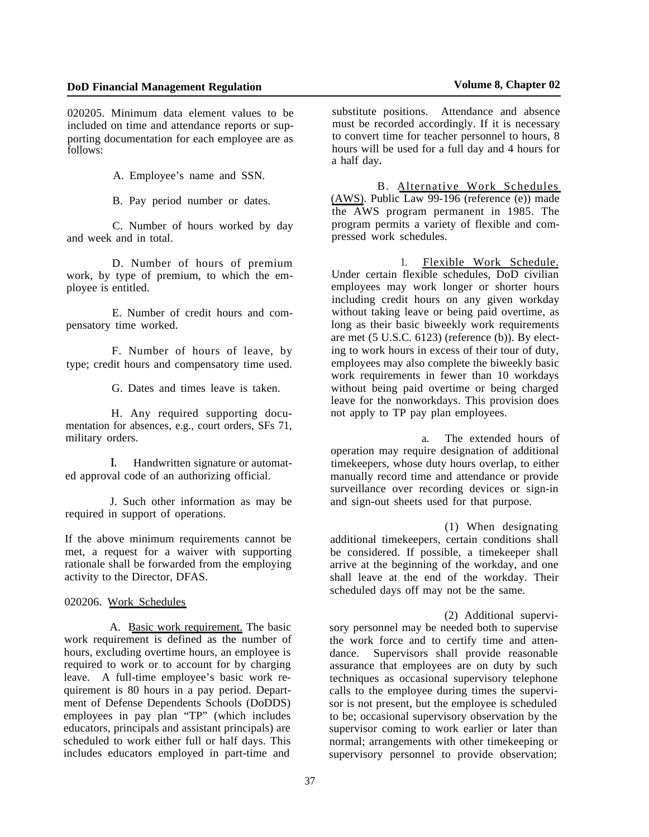020205. Minimum data element values to be included on time and attendance reports or supporting documentation for each employee are as follows:

A. Employee's name and SSN.

B. Pay period number or dates.

C. Number of hours worked by day and week and in total.

D. Number of hours of premium work, by type of premium, to which the employee is entitled.

E. Number of credit hours and compensatory time worked.

F. Number of hours of leave, by type; credit hours and compensatory time used.

G. Dates and times leave is taken.

H. Any required supporting documentation for absences, e.g., court orders, SFs 71, military orders.

**I.** Handwritten signature or automated approval code of an authorizing official.

J. Such other information as may be required in support of operations.

If the above minimum requirements cannot be met, a request for a waiver with supporting rationale shall be forwarded from the employing activity to the Director, DFAS.

020206. Work Schedules

A. Basic work requirement. The basic work requirement is defined as the number of hours, excluding overtime hours, an employee is required to work or to account for by charging leave. A full-time employee's basic work requirement is 80 hours in a pay period. Department of Defense Dependents Schools (DoDDS) employees in pay plan "TP" (which includes educators, principals and assistant principals) are scheduled to work either full or half days. This includes educators employed in part-time and

substitute positions. Attendance and absence must be recorded accordingly. If it is necessary to convert time for teacher personnel to hours, 8 hours will be used for a full day and 4 hours for a half day.

B. Alternative Work Schedules (AWS). Public Law 99-196 (reference (e)) made the AWS program permanent in 1985. The program permits a variety of flexible and compressed work schedules.

1. Flexible Work Schedule. Under certain flexible schedules, DoD civilian employees may work longer or shorter hours including credit hours on any given workday without taking leave or being paid overtime, as long as their basic biweekly work requirements are met (5 U.S.C. 6123) (reference (b)). By electing to work hours in excess of their tour of duty, employees may also complete the biweekly basic work requirements in fewer than 10 workdays without being paid overtime or being charged leave for the nonworkdays. This provision does not apply to TP pay plan employees.

a. The extended hours of operation may require designation of additional timekeepers, whose duty hours overlap, to either manually record time and attendance or provide surveillance over recording devices or sign-in and sign-out sheets used for that purpose.

(1) When designating additional timekeepers, certain conditions shall be considered. If possible, a timekeeper shall arrive at the beginning of the workday, and one shall leave at the end of the workday. Their scheduled days off may not be the same.

(2) Additional supervisory personnel may be needed both to supervise the work force and to certify time and attendance. Supervisors shall provide reasonable assurance that employees are on duty by such techniques as occasional supervisory telephone calls to the employee during times the supervisor is not present, but the employee is scheduled to be; occasional supervisory observation by the supervisor coming to work earlier or later than normal; arrangements with other timekeeping or supervisory personnel to provide observation;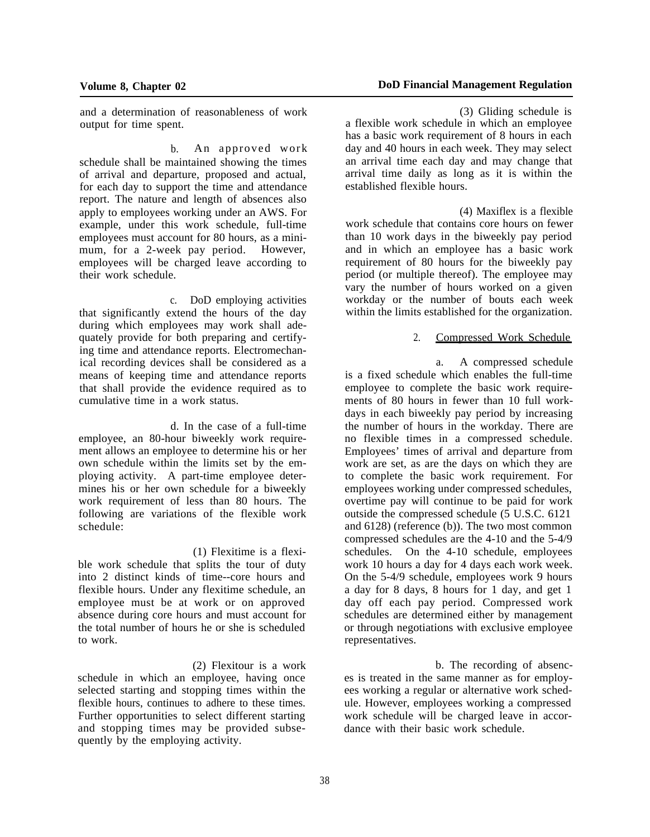and a determination of reasonableness of work output for time spent.

b. An approved work schedule shall be maintained showing the times of arrival and departure, proposed and actual, for each day to support the time and attendance report. The nature and length of absences also apply to employees working under an AWS. For example, under this work schedule, full-time employees must account for 80 hours, as a minimum, for a 2-week pay period. However, employees will be charged leave according to their work schedule.

c. DoD employing activities that significantly extend the hours of the day during which employees may work shall adequately provide for both preparing and certifying time and attendance reports. Electromechanical recording devices shall be considered as a means of keeping time and attendance reports that shall provide the evidence required as to cumulative time in a work status.

d. In the case of a full-time employee, an 80-hour biweekly work requirement allows an employee to determine his or her own schedule within the limits set by the employing activity. A part-time employee determines his or her own schedule for a biweekly work requirement of less than 80 hours. The following are variations of the flexible work schedule:

(1) Flexitime is a flexible work schedule that splits the tour of duty into 2 distinct kinds of time--core hours and flexible hours. Under any flexitime schedule, an employee must be at work or on approved absence during core hours and must account for the total number of hours he or she is scheduled to work.

(2) Flexitour is a work schedule in which an employee, having once selected starting and stopping times within the flexible hours, continues to adhere to these times. Further opportunities to select different starting and stopping times may be provided subsequently by the employing activity.

(3) Gliding schedule is a flexible work schedule in which an employee has a basic work requirement of 8 hours in each day and 40 hours in each week. They may select an arrival time each day and may change that arrival time daily as long as it is within the established flexible hours.

(4) Maxiflex is a flexible work schedule that contains core hours on fewer than 10 work days in the biweekly pay period and in which an employee has a basic work requirement of 80 hours for the biweekly pay period (or multiple thereof). The employee may vary the number of hours worked on a given workday or the number of bouts each week within the limits established for the organization.

#### 2. Compressed Work Schedule

a. A compressed schedule is a fixed schedule which enables the full-time employee to complete the basic work requirements of 80 hours in fewer than 10 full workdays in each biweekly pay period by increasing the number of hours in the workday. There are no flexible times in a compressed schedule. Employees' times of arrival and departure from work are set, as are the days on which they are to complete the basic work requirement. For employees working under compressed schedules, overtime pay will continue to be paid for work outside the compressed schedule (5 U.S.C. 6121 and 6128) (reference (b)). The two most common compressed schedules are the 4-10 and the 5-4/9 schedules. On the 4-10 schedule, employees work 10 hours a day for 4 days each work week. On the 5-4/9 schedule, employees work 9 hours a day for 8 days, 8 hours for 1 day, and get 1 day off each pay period. Compressed work schedules are determined either by management or through negotiations with exclusive employee representatives.

b. The recording of absences is treated in the same manner as for employees working a regular or alternative work schedule. However, employees working a compressed work schedule will be charged leave in accordance with their basic work schedule.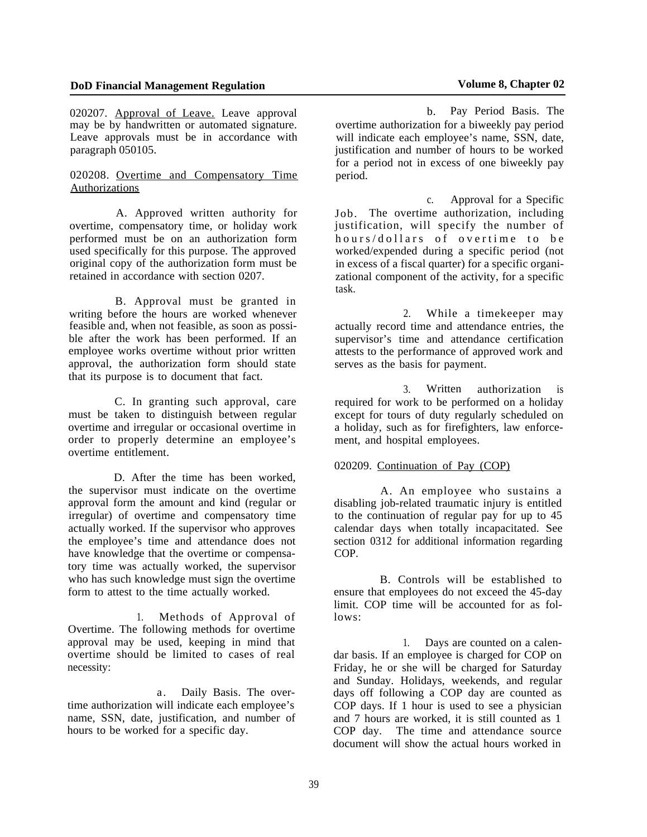020207. Approval of Leave. Leave approval may be by handwritten or automated signature. Leave approvals must be in accordance with paragraph 050105.

### 020208. Overtime and Compensatory Time Authorizations

A. Approved written authority for overtime, compensatory time, or holiday work performed must be on an authorization form used specifically for this purpose. The approved original copy of the authorization form must be retained in accordance with section 0207.

B. Approval must be granted in writing before the hours are worked whenever feasible and, when not feasible, as soon as possible after the work has been performed. If an employee works overtime without prior written approval, the authorization form should state that its purpose is to document that fact.

C. In granting such approval, care must be taken to distinguish between regular overtime and irregular or occasional overtime in order to properly determine an employee's overtime entitlement.

D. After the time has been worked the supervisor must indicate on the overtime approval form the amount and kind (regular or irregular) of overtime and compensatory time actually worked. If the supervisor who approves the employee's time and attendance does not have knowledge that the overtime or compensatory time was actually worked, the supervisor who has such knowledge must sign the overtime form to attest to the time actually worked.

1. Methods of Approval of Overtime. The following methods for overtime approval may be used, keeping in mind that overtime should be limited to cases of real necessity:

a. Daily Basis. The overtime authorization will indicate each employee's name, SSN, date, justification, and number of hours to be worked for a specific day.

b. Pay Period Basis. The overtime authorization for a biweekly pay period will indicate each employee's name, SSN, date, justification and number of hours to be worked for a period not in excess of one biweekly pay period.

c. Approval for a Specific Job. The overtime authorization, including justification, will specify the number of hours/dollars of overtime to be worked/expended during a specific period (not in excess of a fiscal quarter) for a specific organizational component of the activity, for a specific task.

2. While a timekeeper may actually record time and attendance entries, the supervisor's time and attendance certification attests to the performance of approved work and serves as the basis for payment.

3. Written authorization is required for work to be performed on a holiday except for tours of duty regularly scheduled on a holiday, such as for firefighters, law enforcement, and hospital employees.

### 020209. Continuation of Pay (COP)

A. An employee who sustains a disabling job-related traumatic injury is entitled to the continuation of regular pay for up to 45 calendar days when totally incapacitated. See section 0312 for additional information regarding COP.

B. Controls will be established to ensure that employees do not exceed the 45-day limit. COP time will be accounted for as follows:

1. Days are counted on a calendar basis. If an employee is charged for COP on Friday, he or she will be charged for Saturday and Sunday. Holidays, weekends, and regular days off following a COP day are counted as COP days. If 1 hour is used to see a physician and 7 hours are worked, it is still counted as 1 COP day. The time and attendance source document will show the actual hours worked in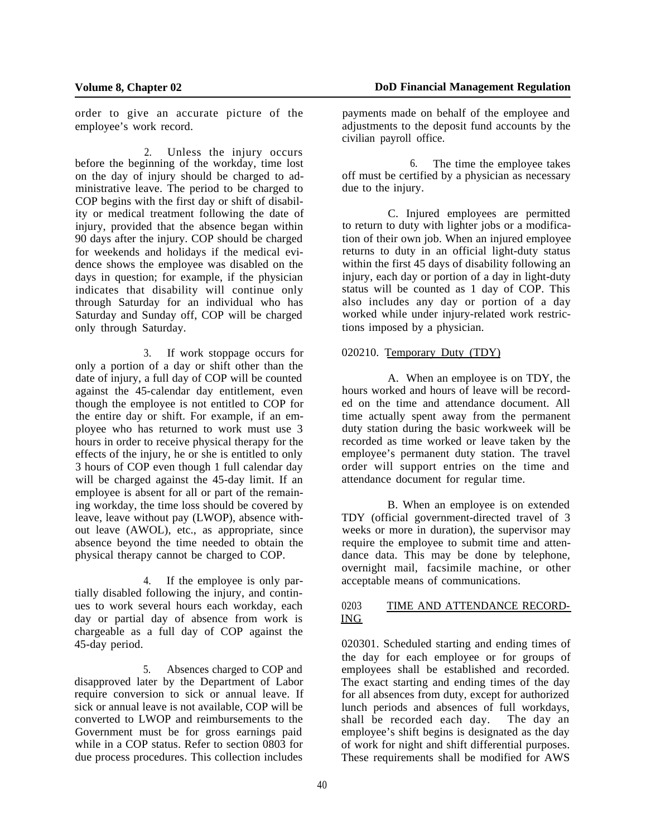order to give an accurate picture of the employee's work record.

2. Unless the injury occurs before the beginning of the workday, time lost on the day of injury should be charged to administrative leave. The period to be charged to COP begins with the first day or shift of disability or medical treatment following the date of injury, provided that the absence began within 90 days after the injury. COP should be charged for weekends and holidays if the medical evidence shows the employee was disabled on the days in question; for example, if the physician indicates that disability will continue only through Saturday for an individual who has Saturday and Sunday off, COP will be charged only through Saturday.

3. If work stoppage occurs for only a portion of a day or shift other than the date of injury, a full day of COP will be counted against the 45-calendar day entitlement, even though the employee is not entitled to COP for the entire day or shift. For example, if an employee who has returned to work must use 3 hours in order to receive physical therapy for the effects of the injury, he or she is entitled to only 3 hours of COP even though 1 full calendar day will be charged against the 45-day limit. If an employee is absent for all or part of the remaining workday, the time loss should be covered by leave, leave without pay (LWOP), absence without leave (AWOL), etc., as appropriate, since absence beyond the time needed to obtain the physical therapy cannot be charged to COP.

4. If the employee is only partially disabled following the injury, and continues to work several hours each workday, each day or partial day of absence from work is chargeable as a full day of COP against the 45-day period.

5. Absences charged to COP and disapproved later by the Department of Labor require conversion to sick or annual leave. If sick or annual leave is not available, COP will be converted to LWOP and reimbursements to the Government must be for gross earnings paid while in a COP status. Refer to section 0803 for due process procedures. This collection includes

payments made on behalf of the employee and adjustments to the deposit fund accounts by the civilian payroll office.

6. The time the employee takes off must be certified by a physician as necessary due to the injury.

C. Injured employees are permitted to return to duty with lighter jobs or a modification of their own job. When an injured employee returns to duty in an official light-duty status within the first 45 days of disability following an injury, each day or portion of a day in light-duty status will be counted as 1 day of COP. This also includes any day or portion of a day worked while under injury-related work restrictions imposed by a physician.

#### 020210. Temporary Duty (TDY)

A. When an employee is on TDY, the hours worked and hours of leave will be recorded on the time and attendance document. All time actually spent away from the permanent duty station during the basic workweek will be recorded as time worked or leave taken by the employee's permanent duty station. The travel order will support entries on the time and attendance document for regular time.

B. When an employee is on extended TDY (official government-directed travel of 3 weeks or more in duration), the supervisor may require the employee to submit time and attendance data. This may be done by telephone, overnight mail, facsimile machine, or other acceptable means of communications.

#### 0203 TIME AND ATTENDANCE RECORD-ING

020301. Scheduled starting and ending times of the day for each employee or for groups of employees shall be established and recorded. The exact starting and ending times of the day for all absences from duty, except for authorized lunch periods and absences of full workdays, shall be recorded each day. employee's shift begins is designated as the day of work for night and shift differential purposes. These requirements shall be modified for AWS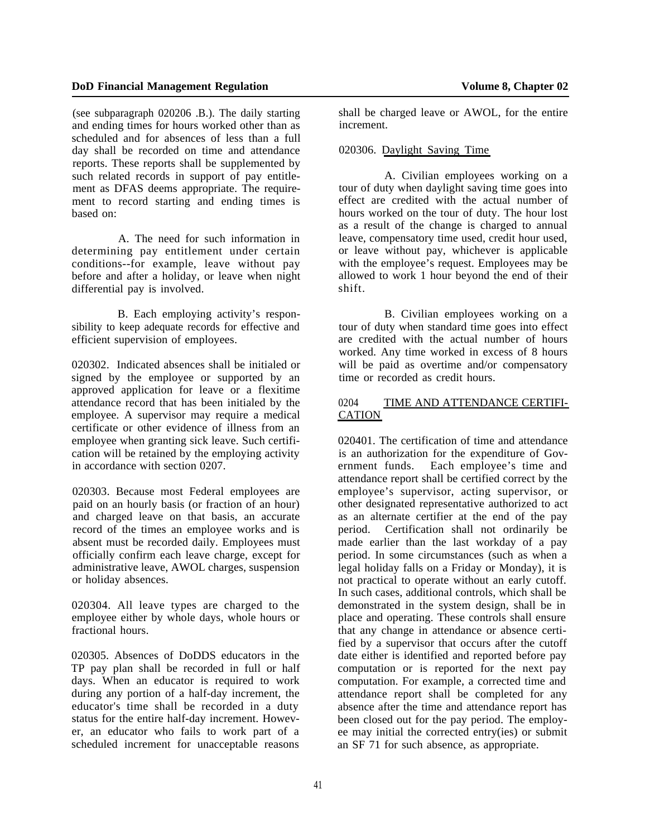(see subparagraph 020206 .B.). The daily starting and ending times for hours worked other than as scheduled and for absences of less than a full day shall be recorded on time and attendance reports. These reports shall be supplemented by such related records in support of pay entitlement as DFAS deems appropriate. The requirement to record starting and ending times is based on:

A. The need for such information in determining pay entitlement under certain conditions--for example, leave without pay before and after a holiday, or leave when night differential pay is involved.

B. Each employing activity's responsibility to keep adequate records for effective and efficient supervision of employees.

020302. Indicated absences shall be initialed or signed by the employee or supported by an approved application for leave or a flexitime attendance record that has been initialed by the employee. A supervisor may require a medical certificate or other evidence of illness from an employee when granting sick leave. Such certification will be retained by the employing activity in accordance with section 0207.

020303. Because most Federal employees are paid on an hourly basis (or fraction of an hour) and charged leave on that basis, an accurate record of the times an employee works and is absent must be recorded daily. Employees must officially confirm each leave charge, except for administrative leave, AWOL charges, suspension or holiday absences.

020304. All leave types are charged to the employee either by whole days, whole hours or fractional hours.

020305. Absences of DoDDS educators in the TP pay plan shall be recorded in full or half days. When an educator is required to work during any portion of a half-day increment, the educator's time shall be recorded in a duty status for the entire half-day increment. However, an educator who fails to work part of a scheduled increment for unacceptable reasons

shall be charged leave or AWOL, for the entire increment.

### 020306. Daylight Saving Time

A. Civilian employees working on a tour of duty when daylight saving time goes into effect are credited with the actual number of hours worked on the tour of duty. The hour lost as a result of the change is charged to annual leave, compensatory time used, credit hour used, or leave without pay, whichever is applicable with the employee's request. Employees may be allowed to work 1 hour beyond the end of their shift.

B. Civilian employees working on a tour of duty when standard time goes into effect are credited with the actual number of hours worked. Any time worked in excess of 8 hours will be paid as overtime and/or compensatory time or recorded as credit hours.

## 0204 TIME AND ATTENDANCE CERTIFI-**CATION**

020401. The certification of time and attendance is an authorization for the expenditure of Government funds. Each employee's time and attendance report shall be certified correct by the employee's supervisor, acting supervisor, or other designated representative authorized to act as an alternate certifier at the end of the pay period. Certification shall not ordinarily be made earlier than the last workday of a pay period. In some circumstances (such as when a legal holiday falls on a Friday or Monday), it is not practical to operate without an early cutoff. In such cases, additional controls, which shall be demonstrated in the system design, shall be in place and operating. These controls shall ensure that any change in attendance or absence certified by a supervisor that occurs after the cutoff date either is identified and reported before pay computation or is reported for the next pay computation. For example, a corrected time and attendance report shall be completed for any absence after the time and attendance report has been closed out for the pay period. The employee may initial the corrected entry(ies) or submit an SF 71 for such absence, as appropriate.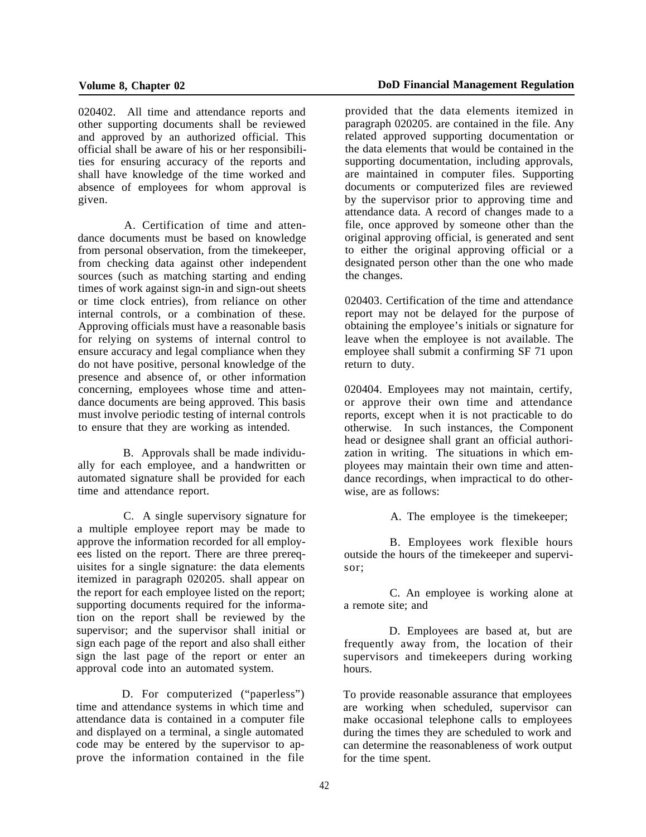020402. All time and attendance reports and other supporting documents shall be reviewed and approved by an authorized official. This official shall be aware of his or her responsibilities for ensuring accuracy of the reports and shall have knowledge of the time worked and absence of employees for whom approval is given.

A. Certification of time and attendance documents must be based on knowledge from personal observation, from the timekeeper, from checking data against other independent sources (such as matching starting and ending times of work against sign-in and sign-out sheets or time clock entries), from reliance on other internal controls, or a combination of these. Approving officials must have a reasonable basis for relying on systems of internal control to ensure accuracy and legal compliance when they do not have positive, personal knowledge of the presence and absence of, or other information concerning, employees whose time and attendance documents are being approved. This basis must involve periodic testing of internal controls to ensure that they are working as intended.

B. Approvals shall be made individually for each employee, and a handwritten or automated signature shall be provided for each time and attendance report.

C. A single supervisory signature for a multiple employee report may be made to approve the information recorded for all employees listed on the report. There are three prerequisites for a single signature: the data elements itemized in paragraph 020205. shall appear on the report for each employee listed on the report; supporting documents required for the information on the report shall be reviewed by the supervisor; and the supervisor shall initial or sign each page of the report and also shall either sign the last page of the report or enter an approval code into an automated system.

D. For computerized ("paperless") time and attendance systems in which time and attendance data is contained in a computer file and displayed on a terminal, a single automated code may be entered by the supervisor to approve the information contained in the file provided that the data elements itemized in paragraph 020205. are contained in the file. Any related approved supporting documentation or the data elements that would be contained in the supporting documentation, including approvals, are maintained in computer files. Supporting documents or computerized files are reviewed by the supervisor prior to approving time and attendance data. A record of changes made to a file, once approved by someone other than the original approving official, is generated and sent to either the original approving official or a designated person other than the one who made the changes.

020403. Certification of the time and attendance report may not be delayed for the purpose of obtaining the employee's initials or signature for leave when the employee is not available. The employee shall submit a confirming SF 71 upon return to duty.

020404. Employees may not maintain, certify, or approve their own time and attendance reports, except when it is not practicable to do otherwise. In such instances, the Component head or designee shall grant an official authorization in writing. The situations in which employees may maintain their own time and attendance recordings, when impractical to do otherwise, are as follows:

A. The employee is the timekeeper;

B. Employees work flexible hours outside the hours of the timekeeper and supervisor;

C. An employee is working alone at a remote site; and

D. Employees are based at, but are frequently away from, the location of their supervisors and timekeepers during working hours.

To provide reasonable assurance that employees are working when scheduled, supervisor can make occasional telephone calls to employees during the times they are scheduled to work and can determine the reasonableness of work output for the time spent.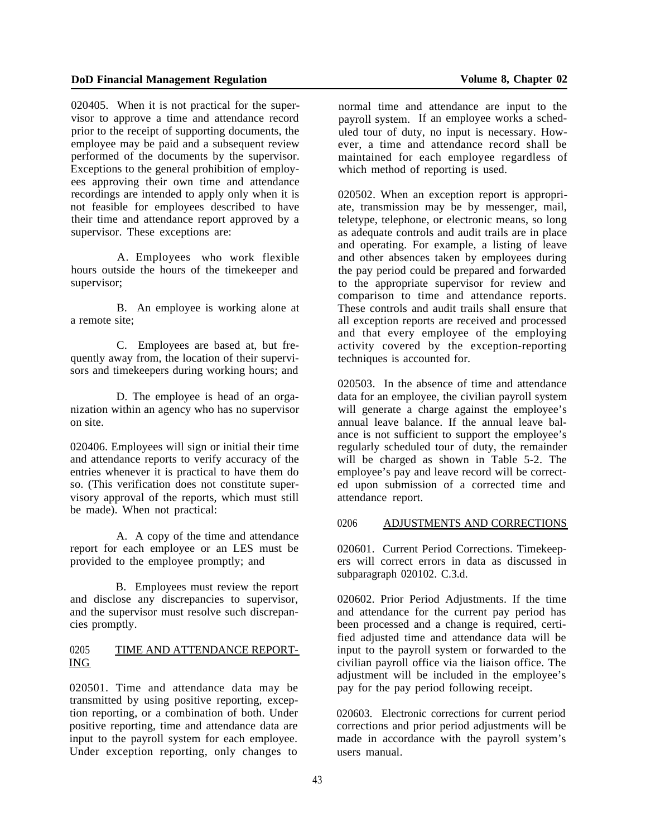020405. When it is not practical for the supervisor to approve a time and attendance record prior to the receipt of supporting documents, the employee may be paid and a subsequent review performed of the documents by the supervisor. Exceptions to the general prohibition of employees approving their own time and attendance recordings are intended to apply only when it is not feasible for employees described to have their time and attendance report approved by a supervisor. These exceptions are:

A. Employees who work flexible hours outside the hours of the timekeeper and supervisor;

B. An employee is working alone at a remote site;

C. Employees are based at, but frequently away from, the location of their supervisors and timekeepers during working hours; and

D. The employee is head of an organization within an agency who has no supervisor on site.

020406. Employees will sign or initial their time and attendance reports to verify accuracy of the entries whenever it is practical to have them do so. (This verification does not constitute supervisory approval of the reports, which must still be made). When not practical:

A. A copy of the time and attendance report for each employee or an LES must be provided to the employee promptly; and

B. Employees must review the report and disclose any discrepancies to supervisor, and the supervisor must resolve such discrepancies promptly.

#### 0205 TIME AND ATTENDANCE REPORT-ING

020501. Time and attendance data may be transmitted by using positive reporting, exception reporting, or a combination of both. Under positive reporting, time and attendance data are input to the payroll system for each employee. Under exception reporting, only changes to

normal time and attendance are input to the payroll system. If an employee works a scheduled tour of duty, no input is necessary. However, a time and attendance record shall be maintained for each employee regardless of which method of reporting is used.

020502. When an exception report is appropriate, transmission may be by messenger, mail, teletype, telephone, or electronic means, so long as adequate controls and audit trails are in place and operating. For example, a listing of leave and other absences taken by employees during the pay period could be prepared and forwarded to the appropriate supervisor for review and comparison to time and attendance reports. These controls and audit trails shall ensure that all exception reports are received and processed and that every employee of the employing activity covered by the exception-reporting techniques is accounted for.

020503. In the absence of time and attendance data for an employee, the civilian payroll system will generate a charge against the employee's annual leave balance. If the annual leave balance is not sufficient to support the employee's regularly scheduled tour of duty, the remainder will be charged as shown in Table 5-2. The employee's pay and leave record will be corrected upon submission of a corrected time and attendance report.

# 0206 ADJUSTMENTS AND CORRECTIONS

020601. Current Period Corrections. Timekeepers will correct errors in data as discussed in subparagraph 020102. C.3.d.

020602. Prior Period Adjustments. If the time and attendance for the current pay period has been processed and a change is required, certified adjusted time and attendance data will be input to the payroll system or forwarded to the civilian payroll office via the liaison office. The adjustment will be included in the employee's pay for the pay period following receipt.

020603. Electronic corrections for current period corrections and prior period adjustments will be made in accordance with the payroll system's users manual.